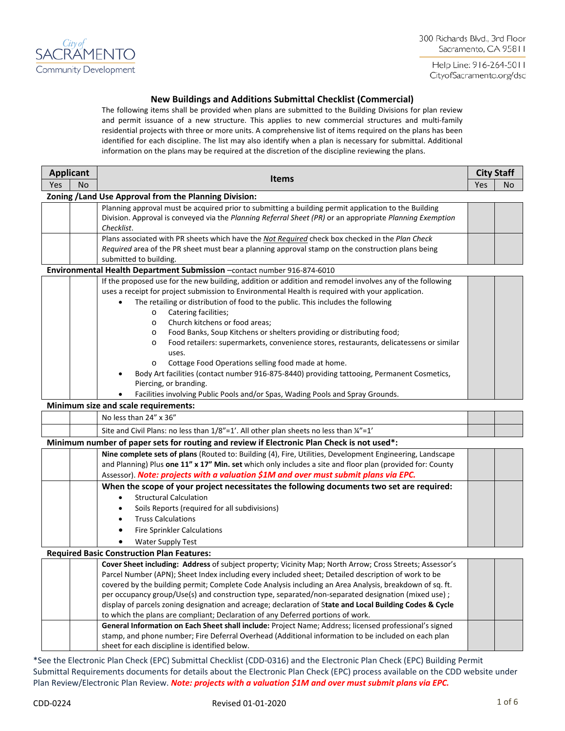

300 Richards Blvd., 3rd Floor Sacramento, CA 95811

Help Line: 916-264-5011 CityofSacramento.org/dsd

# **New Buildings and Additions Submittal Checklist (Commercial)**

The following items shall be provided when plans are submitted to the Building Divisions for plan review and permit issuance of a new structure. This applies to new commercial structures and multi-family residential projects with three or more units. A comprehensive list of items required on the plans has been identified for each discipline. The list may also identify when a plan is necessary for submittal. Additional information on the plans may be required at the discretion of the discipline reviewing the plans.

| <b>Applicant</b> |    |                                                                                                                        | <b>City Staff</b> |    |
|------------------|----|------------------------------------------------------------------------------------------------------------------------|-------------------|----|
| Yes              | No | <b>Items</b>                                                                                                           | Yes               | No |
|                  |    | Zoning / Land Use Approval from the Planning Division:                                                                 |                   |    |
|                  |    | Planning approval must be acquired prior to submitting a building permit application to the Building                   |                   |    |
|                  |    | Division. Approval is conveyed via the Planning Referral Sheet (PR) or an appropriate Planning Exemption               |                   |    |
|                  |    | Checklist.                                                                                                             |                   |    |
|                  |    | Plans associated with PR sheets which have the Not Required check box checked in the Plan Check                        |                   |    |
|                  |    | Required area of the PR sheet must bear a planning approval stamp on the construction plans being                      |                   |    |
|                  |    | submitted to building.                                                                                                 |                   |    |
|                  |    | Environmental Health Department Submission -contact number 916-874-6010                                                |                   |    |
|                  |    | If the proposed use for the new building, addition or addition and remodel involves any of the following               |                   |    |
|                  |    | uses a receipt for project submission to Environmental Health is required with your application.                       |                   |    |
|                  |    | The retailing or distribution of food to the public. This includes the following                                       |                   |    |
|                  |    | Catering facilities;<br>$\circ$<br>Church kitchens or food areas;                                                      |                   |    |
|                  |    | $\circ$                                                                                                                |                   |    |
|                  |    | Food Banks, Soup Kitchens or shelters providing or distributing food;<br>$\circ$                                       |                   |    |
|                  |    | Food retailers: supermarkets, convenience stores, restaurants, delicatessens or similar<br>$\circ$<br>uses.            |                   |    |
|                  |    | Cottage Food Operations selling food made at home.<br>$\circ$                                                          |                   |    |
|                  |    | Body Art facilities (contact number 916-875-8440) providing tattooing, Permanent Cosmetics,                            |                   |    |
|                  |    | Piercing, or branding.                                                                                                 |                   |    |
|                  |    |                                                                                                                        |                   |    |
|                  |    | Facilities involving Public Pools and/or Spas, Wading Pools and Spray Grounds.<br>Minimum size and scale requirements: |                   |    |
|                  |    | No less than 24" x 36"                                                                                                 |                   |    |
|                  |    |                                                                                                                        |                   |    |
|                  |    | Site and Civil Plans: no less than 1/8"=1'. All other plan sheets no less than 1/4"=1"                                 |                   |    |
|                  |    | Minimum number of paper sets for routing and review if Electronic Plan Check is not used*:                             |                   |    |
|                  |    | Nine complete sets of plans (Routed to: Building (4), Fire, Utilities, Development Engineering, Landscape              |                   |    |
|                  |    | and Planning) Plus one 11" x 17" Min. set which only includes a site and floor plan (provided for: County              |                   |    |
|                  |    | Assessor). Note: projects with a valuation \$1M and over must submit plans via EPC.                                    |                   |    |
|                  |    | When the scope of your project necessitates the following documents two set are required:                              |                   |    |
|                  |    | <b>Structural Calculation</b><br>$\bullet$                                                                             |                   |    |
|                  |    | Soils Reports (required for all subdivisions)                                                                          |                   |    |
|                  |    | <b>Truss Calculations</b>                                                                                              |                   |    |
|                  |    | <b>Fire Sprinkler Calculations</b>                                                                                     |                   |    |
|                  |    | <b>Water Supply Test</b>                                                                                               |                   |    |
|                  |    | <b>Required Basic Construction Plan Features:</b>                                                                      |                   |    |
|                  |    | Cover Sheet including: Address of subject property; Vicinity Map; North Arrow; Cross Streets; Assessor's               |                   |    |
|                  |    | Parcel Number (APN); Sheet Index including every included sheet; Detailed description of work to be                    |                   |    |
|                  |    | covered by the building permit; Complete Code Analysis including an Area Analysis, breakdown of sq. ft.                |                   |    |
|                  |    | per occupancy group/Use(s) and construction type, separated/non-separated designation (mixed use) ;                    |                   |    |
|                  |    | display of parcels zoning designation and acreage; declaration of State and Local Building Codes & Cycle               |                   |    |
|                  |    | to which the plans are compliant; Declaration of any Deferred portions of work.                                        |                   |    |
|                  |    | General Information on Each Sheet shall include: Project Name; Address; licensed professional's signed                 |                   |    |
|                  |    | stamp, and phone number; Fire Deferral Overhead (Additional information to be included on each plan                    |                   |    |
|                  |    | sheet for each discipline is identified below.                                                                         |                   |    |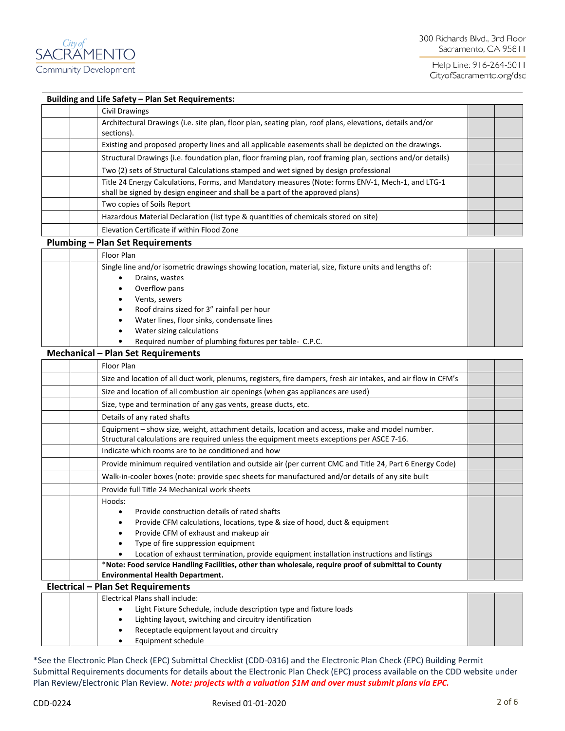

## **Building and Life Safety – Plan Set Requirements:**

| <b>Civil Drawings</b>                                                                                                                                                              |  |
|------------------------------------------------------------------------------------------------------------------------------------------------------------------------------------|--|
| Architectural Drawings (i.e. site plan, floor plan, seating plan, roof plans, elevations, details and/or<br>sections).                                                             |  |
| Existing and proposed property lines and all applicable easements shall be depicted on the drawings.                                                                               |  |
| Structural Drawings (i.e. foundation plan, floor framing plan, roof framing plan, sections and/or details)                                                                         |  |
| Two (2) sets of Structural Calculations stamped and wet signed by design professional                                                                                              |  |
| Title 24 Energy Calculations, Forms, and Mandatory measures (Note: forms ENV-1, Mech-1, and LTG-1<br>shall be signed by design engineer and shall be a part of the approved plans) |  |
| Two copies of Soils Report                                                                                                                                                         |  |
| Hazardous Material Declaration (list type & quantities of chemicals stored on site)                                                                                                |  |
| Elevation Certificate if within Flood Zone                                                                                                                                         |  |

#### **Plumbing – Plan Set Requirements**

| Floor Plan                                                                                            |  |
|-------------------------------------------------------------------------------------------------------|--|
| Single line and/or isometric drawings showing location, material, size, fixture units and lengths of: |  |
| Drains, wastes                                                                                        |  |
| Overflow pans                                                                                         |  |
| Vents, sewers                                                                                         |  |
| Roof drains sized for 3" rainfall per hour                                                            |  |
| Water lines, floor sinks, condensate lines                                                            |  |
| Water sizing calculations                                                                             |  |
| Required number of plumbing fixtures per table- C.P.C.                                                |  |

### **Mechanical – Plan Set Requirements**

| Floor Plan                                                                                                                                                                                  |  |
|---------------------------------------------------------------------------------------------------------------------------------------------------------------------------------------------|--|
| Size and location of all duct work, plenums, registers, fire dampers, fresh air intakes, and air flow in CFM's                                                                              |  |
| Size and location of all combustion air openings (when gas appliances are used)                                                                                                             |  |
| Size, type and termination of any gas vents, grease ducts, etc.                                                                                                                             |  |
| Details of any rated shafts                                                                                                                                                                 |  |
| Equipment - show size, weight, attachment details, location and access, make and model number.<br>Structural calculations are required unless the equipment meets exceptions per ASCE 7-16. |  |
| Indicate which rooms are to be conditioned and how                                                                                                                                          |  |
| Provide minimum required ventilation and outside air (per current CMC and Title 24, Part 6 Energy Code)                                                                                     |  |
| Walk-in-cooler boxes (note: provide spec sheets for manufactured and/or details of any site built                                                                                           |  |
| Provide full Title 24 Mechanical work sheets                                                                                                                                                |  |
| Hoods:                                                                                                                                                                                      |  |
| Provide construction details of rated shafts                                                                                                                                                |  |
| Provide CFM calculations, locations, type & size of hood, duct & equipment                                                                                                                  |  |
| Provide CFM of exhaust and makeup air                                                                                                                                                       |  |
| Type of fire suppression equipment                                                                                                                                                          |  |
| Location of exhaust termination, provide equipment installation instructions and listings                                                                                                   |  |
| *Note: Food service Handling Facilities, other than wholesale, require proof of submittal to County                                                                                         |  |
| <b>Environmental Health Department.</b>                                                                                                                                                     |  |
| <b>Electrical - Plan Set Requirements</b>                                                                                                                                                   |  |
| Electrical Plans shall include:                                                                                                                                                             |  |
| Light Fixture Schedule, include description type and fixture loads                                                                                                                          |  |
| Lighting layout, switching and circuitry identification                                                                                                                                     |  |

- Receptacle equipment layout and circuitry
- Equipment schedule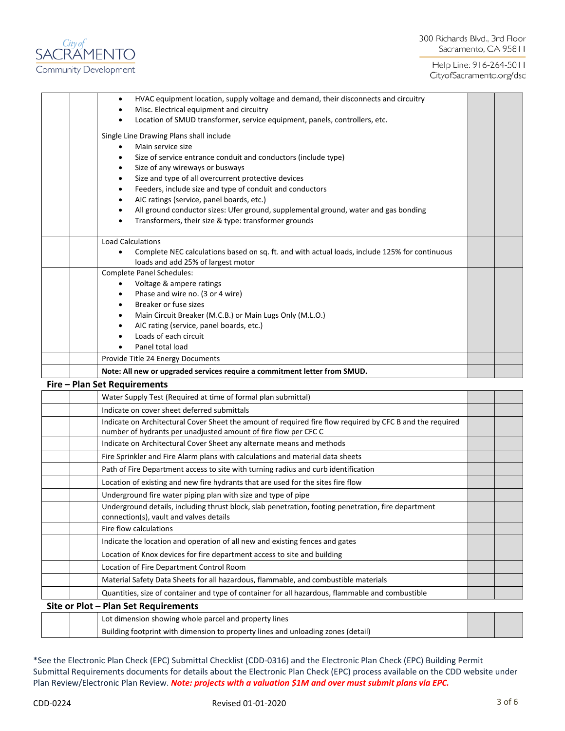

| HVAC equipment location, supply voltage and demand, their disconnects and circuitry<br>$\bullet$ |  |
|--------------------------------------------------------------------------------------------------|--|
| Misc. Electrical equipment and circuitry                                                         |  |
| Location of SMUD transformer, service equipment, panels, controllers, etc.                       |  |
| Single Line Drawing Plans shall include                                                          |  |
| Main service size                                                                                |  |
| Size of service entrance conduit and conductors (include type)                                   |  |
| Size of any wireways or busways                                                                  |  |
| Size and type of all overcurrent protective devices                                              |  |
| Feeders, include size and type of conduit and conductors                                         |  |
| AIC ratings (service, panel boards, etc.)                                                        |  |
| All ground conductor sizes: Ufer ground, supplemental ground, water and gas bonding              |  |
| Transformers, their size & type: transformer grounds                                             |  |
|                                                                                                  |  |
| <b>Load Calculations</b>                                                                         |  |
| Complete NEC calculations based on sq. ft. and with actual loads, include 125% for continuous    |  |
| loads and add 25% of largest motor                                                               |  |
| <b>Complete Panel Schedules:</b>                                                                 |  |
| Voltage & ampere ratings                                                                         |  |
| Phase and wire no. (3 or 4 wire)                                                                 |  |
| Breaker or fuse sizes                                                                            |  |
| Main Circuit Breaker (M.C.B.) or Main Lugs Only (M.L.O.)                                         |  |
| AIC rating (service, panel boards, etc.)                                                         |  |
| Loads of each circuit                                                                            |  |
| Panel total load                                                                                 |  |
| Provide Title 24 Energy Documents                                                                |  |
| Note: All new or upgraded services require a commitment letter from SMUD.                        |  |
| Fire - Plan Set Requirements                                                                     |  |
| $\mathbf{u} \cdot \mathbf{v} = \mathbf{v} \cdot \mathbf{v}$                                      |  |

| Water Supply Test (Required at time of formal plan submittal)                                                                                                                |  |
|------------------------------------------------------------------------------------------------------------------------------------------------------------------------------|--|
| Indicate on cover sheet deferred submittals                                                                                                                                  |  |
| Indicate on Architectural Cover Sheet the amount of required fire flow required by CFC B and the required<br>number of hydrants per unadjusted amount of fire flow per CFC C |  |
| Indicate on Architectural Cover Sheet any alternate means and methods                                                                                                        |  |
| Fire Sprinkler and Fire Alarm plans with calculations and material data sheets                                                                                               |  |
| Path of Fire Department access to site with turning radius and curb identification                                                                                           |  |
| Location of existing and new fire hydrants that are used for the sites fire flow                                                                                             |  |
| Underground fire water piping plan with size and type of pipe                                                                                                                |  |
| Underground details, including thrust block, slab penetration, footing penetration, fire department<br>connection(s), vault and valves details                               |  |
| Fire flow calculations                                                                                                                                                       |  |
| Indicate the location and operation of all new and existing fences and gates                                                                                                 |  |
| Location of Knox devices for fire department access to site and building                                                                                                     |  |
| Location of Fire Department Control Room                                                                                                                                     |  |
| Material Safety Data Sheets for all hazardous, flammable, and combustible materials                                                                                          |  |
| Quantities, size of container and type of container for all hazardous, flammable and combustible                                                                             |  |
| Site or Plot - Plan Set Requirements                                                                                                                                         |  |

|  | Lot dimension showing whole parcel and property lines                            |  |
|--|----------------------------------------------------------------------------------|--|
|  | Building footprint with dimension to property lines and unloading zones (detail) |  |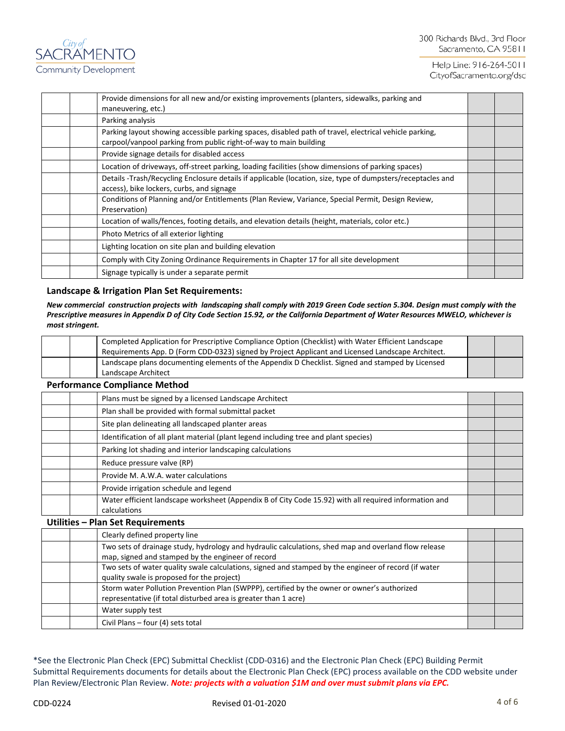| Provide dimensions for all new and/or existing improvements (planters, sidewalks, parking and<br>maneuvering, etc.)                                                         |  |
|-----------------------------------------------------------------------------------------------------------------------------------------------------------------------------|--|
| Parking analysis                                                                                                                                                            |  |
| Parking layout showing accessible parking spaces, disabled path of travel, electrical vehicle parking,<br>carpool/vanpool parking from public right-of-way to main building |  |
| Provide signage details for disabled access                                                                                                                                 |  |
| Location of driveways, off-street parking, loading facilities (show dimensions of parking spaces)                                                                           |  |
| Details -Trash/Recycling Enclosure details if applicable (location, size, type of dumpsters/receptacles and<br>access), bike lockers, curbs, and signage                    |  |
| Conditions of Planning and/or Entitlements (Plan Review, Variance, Special Permit, Design Review,<br>Preservation)                                                          |  |
| Location of walls/fences, footing details, and elevation details (height, materials, color etc.)                                                                            |  |
| Photo Metrics of all exterior lighting                                                                                                                                      |  |
| Lighting location on site plan and building elevation                                                                                                                       |  |
| Comply with City Zoning Ordinance Requirements in Chapter 17 for all site development                                                                                       |  |
| Signage typically is under a separate permit                                                                                                                                |  |

## **Landscape & Irrigation Plan Set Requirements:**

*New commercial construction projects with landscaping shall comply with 2019 Green Code section 5.304. Design must comply with the Prescriptive measures in Appendix D of City Code Section 15.92, or the California Department of Water Resources MWELO, whichever is most stringent.*

|  | Completed Application for Prescriptive Compliance Option (Checklist) with Water Efficient Landscape<br>Requirements App. D (Form CDD-0323) signed by Project Applicant and Licensed Landscape Architect. |  |
|--|----------------------------------------------------------------------------------------------------------------------------------------------------------------------------------------------------------|--|
|  | Landscape plans documenting elements of the Appendix D Checklist. Signed and stamped by Licensed<br>Landscape Architect                                                                                  |  |

## **Performance Compliance Method**

| Plans must be signed by a licensed Landscape Architect                                                                |  |
|-----------------------------------------------------------------------------------------------------------------------|--|
| Plan shall be provided with formal submittal packet                                                                   |  |
| Site plan delineating all landscaped planter areas                                                                    |  |
| Identification of all plant material (plant legend including tree and plant species)                                  |  |
| Parking lot shading and interior landscaping calculations                                                             |  |
| Reduce pressure valve (RP)                                                                                            |  |
| Provide M. A.W.A. water calculations                                                                                  |  |
| Provide irrigation schedule and legend                                                                                |  |
| Water efficient landscape worksheet (Appendix B of City Code 15.92) with all required information and<br>calculations |  |

### **Utilities – Plan Set Requirements**

| Clearly defined property line                                                                                                                                  |  |
|----------------------------------------------------------------------------------------------------------------------------------------------------------------|--|
| Two sets of drainage study, hydrology and hydraulic calculations, shed map and overland flow release<br>map, signed and stamped by the engineer of record      |  |
| Two sets of water quality swale calculations, signed and stamped by the engineer of record (if water<br>quality swale is proposed for the project)             |  |
| Storm water Pollution Prevention Plan (SWPPP), certified by the owner or owner's authorized<br>representative (if total disturbed area is greater than 1 acre) |  |
| Water supply test                                                                                                                                              |  |
| Civil Plans - four (4) sets total                                                                                                                              |  |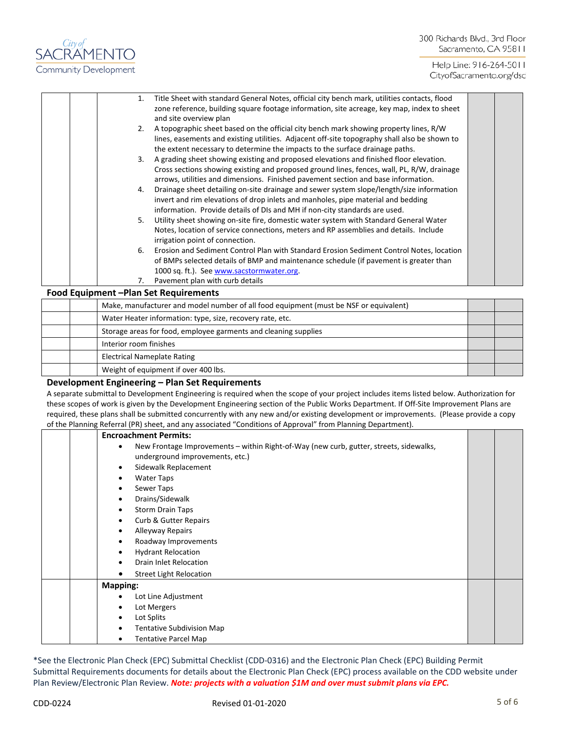## 300 Richards Blvd., 3rd Floor Sacramento, CA 95811

Help Line: 916-264-5011 CityofSacramento.org/dsd

| Title Sheet with standard General Notes, official city bench mark, utilities contacts, flood<br>1.<br>zone reference, building square footage information, site acreage, key map, index to sheet<br>and site overview plan<br>A topographic sheet based on the official city bench mark showing property lines, R/W<br>2.<br>lines, easements and existing utilities. Adjacent off-site topography shall also be shown to<br>the extent necessary to determine the impacts to the surface drainage paths.<br>A grading sheet showing existing and proposed elevations and finished floor elevation.<br>3.<br>Cross sections showing existing and proposed ground lines, fences, wall, PL, R/W, drainage<br>arrows, utilities and dimensions. Finished pavement section and base information.<br>Drainage sheet detailing on-site drainage and sewer system slope/length/size information<br>4.<br>invert and rim elevations of drop inlets and manholes, pipe material and bedding<br>information. Provide details of DIs and MH if non-city standards are used.<br>Utility sheet showing on-site fire, domestic water system with Standard General Water<br>5.<br>Notes, location of service connections, meters and RP assemblies and details. Include<br>irrigation point of connection.<br>Erosion and Sediment Control Plan with Standard Erosion Sediment Control Notes, location<br>6.<br>of BMPs selected details of BMP and maintenance schedule (if pavement is greater than |  |
|----------------------------------------------------------------------------------------------------------------------------------------------------------------------------------------------------------------------------------------------------------------------------------------------------------------------------------------------------------------------------------------------------------------------------------------------------------------------------------------------------------------------------------------------------------------------------------------------------------------------------------------------------------------------------------------------------------------------------------------------------------------------------------------------------------------------------------------------------------------------------------------------------------------------------------------------------------------------------------------------------------------------------------------------------------------------------------------------------------------------------------------------------------------------------------------------------------------------------------------------------------------------------------------------------------------------------------------------------------------------------------------------------------------------------------------------------------------------------------------|--|
| 1000 sq. ft.). See www.sacstormwater.org.<br>Pavement plan with curb details<br>7.                                                                                                                                                                                                                                                                                                                                                                                                                                                                                                                                                                                                                                                                                                                                                                                                                                                                                                                                                                                                                                                                                                                                                                                                                                                                                                                                                                                                     |  |
| Food Equipment - Plan Set Requirements                                                                                                                                                                                                                                                                                                                                                                                                                                                                                                                                                                                                                                                                                                                                                                                                                                                                                                                                                                                                                                                                                                                                                                                                                                                                                                                                                                                                                                                 |  |
|                                                                                                                                                                                                                                                                                                                                                                                                                                                                                                                                                                                                                                                                                                                                                                                                                                                                                                                                                                                                                                                                                                                                                                                                                                                                                                                                                                                                                                                                                        |  |

|  | Make, manufacturer and model number of all food equipment (must be NSF or equivalent) |  |
|--|---------------------------------------------------------------------------------------|--|
|  | Water Heater information: type, size, recovery rate, etc.                             |  |
|  | Storage areas for food, employee garments and cleaning supplies                       |  |
|  | Interior room finishes                                                                |  |
|  | <b>Electrical Nameplate Rating</b>                                                    |  |
|  | Weight of equipment if over 400 lbs.                                                  |  |

### **Development Engineering – Plan Set Requirements**

*City of*<br>SACRAMENTO

Community Development

A separate submittal to Development Engineering is required when the scope of your project includes items listed below. Authorization for these scopes of work is given by the Development Engineering section of the Public Works Department. If Off-Site Improvement Plans are required, these plans shall be submitted concurrently with any new and/or existing development or improvements. (Please provide a copy of the Planning Referral (PR) sheet, and any associated "Conditions of Approval" from Planning Department).

| <b>Encroachment Permits:</b>                                                                                                           |  |
|----------------------------------------------------------------------------------------------------------------------------------------|--|
| New Frontage Improvements - within Right-of-Way (new curb, gutter, streets, sidewalks,<br>$\bullet$<br>underground improvements, etc.) |  |
| Sidewalk Replacement<br>$\bullet$                                                                                                      |  |
| Water Taps<br>٠                                                                                                                        |  |
| Sewer Taps<br>$\bullet$                                                                                                                |  |
| Drains/Sidewalk<br>$\bullet$                                                                                                           |  |
| <b>Storm Drain Taps</b><br>$\bullet$                                                                                                   |  |
| <b>Curb &amp; Gutter Repairs</b><br>$\bullet$                                                                                          |  |
| Alleyway Repairs<br>٠                                                                                                                  |  |
| Roadway Improvements<br>$\bullet$                                                                                                      |  |
| <b>Hydrant Relocation</b><br>$\bullet$                                                                                                 |  |
| Drain Inlet Relocation<br>$\bullet$                                                                                                    |  |
| <b>Street Light Relocation</b><br>$\bullet$                                                                                            |  |
| <b>Mapping:</b>                                                                                                                        |  |
| Lot Line Adjustment<br>$\bullet$                                                                                                       |  |
| Lot Mergers<br>٠                                                                                                                       |  |
| Lot Splits<br>٠                                                                                                                        |  |
| <b>Tentative Subdivision Map</b><br>٠                                                                                                  |  |
| <b>Tentative Parcel Map</b><br>$\bullet$                                                                                               |  |